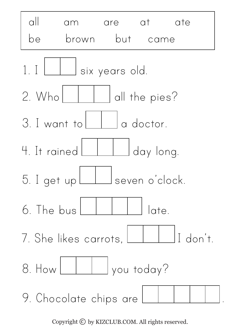

Copyright  $\odot$  by KIZCLUB.COM. All rights reserved.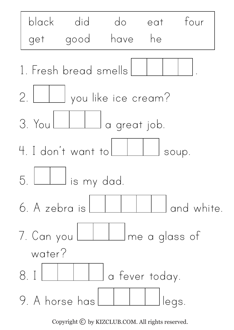

Copyright  $\odot$  by KIZCLUB.COM. All rights reserved.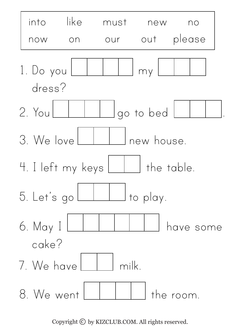

Copyright  $\odot$  by KIZCLUB.COM. All rights reserved.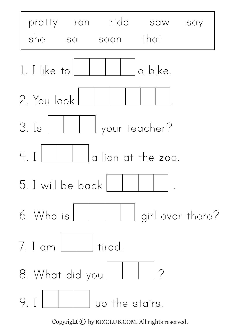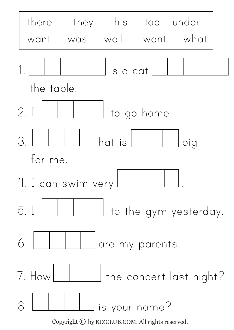